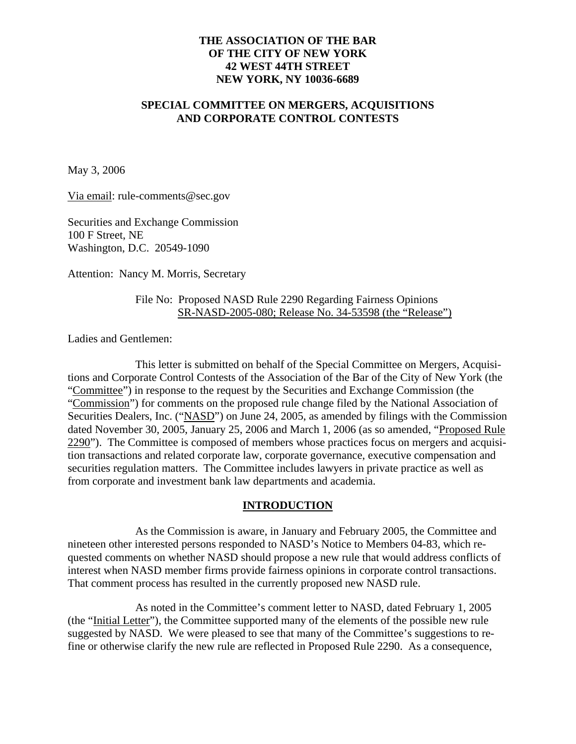## **THE ASSOCIATION OF THE BAR OF THE CITY OF NEW YORK 42 WEST 44TH STREET NEW YORK, NY 10036-6689**

### **SPECIAL COMMITTEE ON MERGERS, ACQUISITIONS AND CORPORATE CONTROL CONTESTS**

May 3, 2006

Via email: rule-comments@sec.gov

Securities and Exchange Commission 100 F Street, NE Washington, D.C. 20549-1090

Attention: Nancy M. Morris, Secretary

#### File No: Proposed NASD Rule 2290 Regarding Fairness Opinions SR-NASD-2005-080; Release No. 34-53598 (the "Release")

Ladies and Gentlemen:

This letter is submitted on behalf of the Special Committee on Mergers, Acquisitions and Corporate Control Contests of the Association of the Bar of the City of New York (the "Committee") in response to the request by the Securities and Exchange Commission (the "Commission") for comments on the proposed rule change filed by the National Association of Securities Dealers, Inc. ("NASD") on June 24, 2005, as amended by filings with the Commission dated November 30, 2005, January 25, 2006 and March 1, 2006 (as so amended, "Proposed Rule 2290"). The Committee is composed of members whose practices focus on mergers and acquisition transactions and related corporate law, corporate governance, executive compensation and securities regulation matters. The Committee includes lawyers in private practice as well as from corporate and investment bank law departments and academia.

### **INTRODUCTION**

As the Commission is aware, in January and February 2005, the Committee and nineteen other interested persons responded to NASD's Notice to Members 04-83, which requested comments on whether NASD should propose a new rule that would address conflicts of interest when NASD member firms provide fairness opinions in corporate control transactions. That comment process has resulted in the currently proposed new NASD rule.

As noted in the Committee's comment letter to NASD, dated February 1, 2005 (the "Initial Letter"), the Committee supported many of the elements of the possible new rule suggested by NASD. We were pleased to see that many of the Committee's suggestions to refine or otherwise clarify the new rule are reflected in Proposed Rule 2290. As a consequence,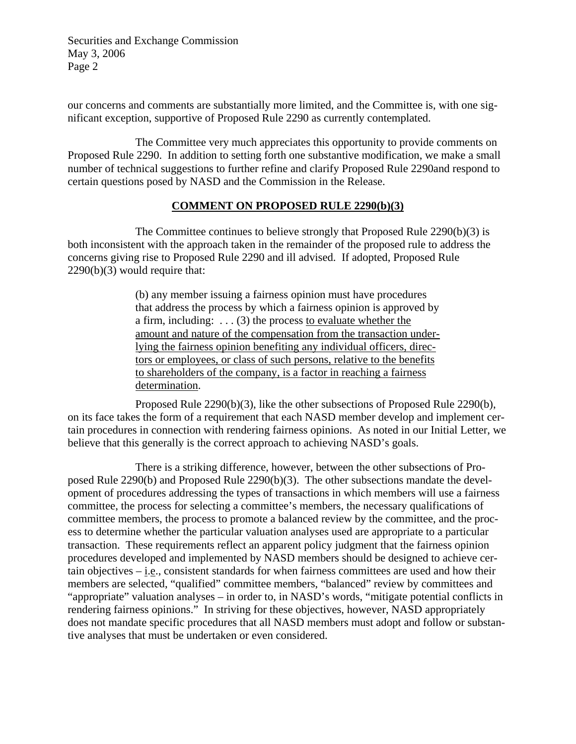our concerns and comments are substantially more limited, and the Committee is, with one significant exception, supportive of Proposed Rule 2290 as currently contemplated.

The Committee very much appreciates this opportunity to provide comments on Proposed Rule 2290. In addition to setting forth one substantive modification, we make a small number of technical suggestions to further refine and clarify Proposed Rule 2290and respond to certain questions posed by NASD and the Commission in the Release.

### **COMMENT ON PROPOSED RULE 2290(b)(3)**

The Committee continues to believe strongly that Proposed Rule 2290(b)(3) is both inconsistent with the approach taken in the remainder of the proposed rule to address the concerns giving rise to Proposed Rule 2290 and ill advised. If adopted, Proposed Rule 2290(b)(3) would require that:

> (b) any member issuing a fairness opinion must have procedures that address the process by which a fairness opinion is approved by a firm, including:  $\dots$  (3) the process to evaluate whether the amount and nature of the compensation from the transaction underlying the fairness opinion benefiting any individual officers, directors or employees, or class of such persons, relative to the benefits to shareholders of the company, is a factor in reaching a fairness determination.

Proposed Rule 2290(b)(3), like the other subsections of Proposed Rule 2290(b), on its face takes the form of a requirement that each NASD member develop and implement certain procedures in connection with rendering fairness opinions. As noted in our Initial Letter, we believe that this generally is the correct approach to achieving NASD's goals.

There is a striking difference, however, between the other subsections of Proposed Rule 2290(b) and Proposed Rule 2290(b)(3). The other subsections mandate the development of procedures addressing the types of transactions in which members will use a fairness committee, the process for selecting a committee's members, the necessary qualifications of committee members, the process to promote a balanced review by the committee, and the process to determine whether the particular valuation analyses used are appropriate to a particular transaction. These requirements reflect an apparent policy judgment that the fairness opinion procedures developed and implemented by NASD members should be designed to achieve certain objectives – i.e., consistent standards for when fairness committees are used and how their members are selected, "qualified" committee members, "balanced" review by committees and "appropriate" valuation analyses – in order to, in NASD's words, "mitigate potential conflicts in rendering fairness opinions." In striving for these objectives, however, NASD appropriately does not mandate specific procedures that all NASD members must adopt and follow or substantive analyses that must be undertaken or even considered.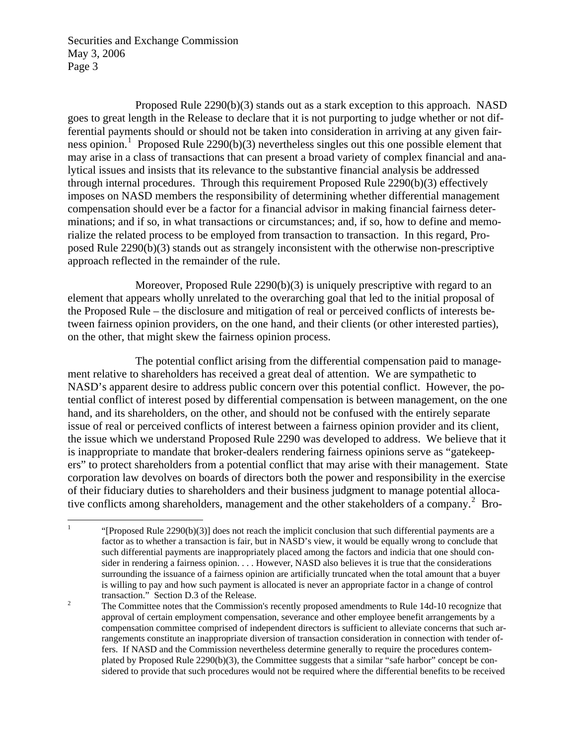Proposed Rule 2290(b)(3) stands out as a stark exception to this approach. NASD goes to great length in the Release to declare that it is not purporting to judge whether or not differential payments should or should not be taken into consideration in arriving at any given fair-ness opinion.<sup>[1](#page-2-0)</sup> Proposed Rule 2290(b)(3) nevertheless singles out this one possible element that may arise in a class of transactions that can present a broad variety of complex financial and analytical issues and insists that its relevance to the substantive financial analysis be addressed through internal procedures. Through this requirement Proposed Rule 2290(b)(3) effectively imposes on NASD members the responsibility of determining whether differential management compensation should ever be a factor for a financial advisor in making financial fairness determinations; and if so, in what transactions or circumstances; and, if so, how to define and memorialize the related process to be employed from transaction to transaction. In this regard, Proposed Rule 2290(b)(3) stands out as strangely inconsistent with the otherwise non-prescriptive approach reflected in the remainder of the rule.

Moreover, Proposed Rule 2290(b)(3) is uniquely prescriptive with regard to an element that appears wholly unrelated to the overarching goal that led to the initial proposal of the Proposed Rule – the disclosure and mitigation of real or perceived conflicts of interests between fairness opinion providers, on the one hand, and their clients (or other interested parties), on the other, that might skew the fairness opinion process.

The potential conflict arising from the differential compensation paid to management relative to shareholders has received a great deal of attention. We are sympathetic to NASD's apparent desire to address public concern over this potential conflict. However, the potential conflict of interest posed by differential compensation is between management, on the one hand, and its shareholders, on the other, and should not be confused with the entirely separate issue of real or perceived conflicts of interest between a fairness opinion provider and its client, the issue which we understand Proposed Rule 2290 was developed to address. We believe that it is inappropriate to mandate that broker-dealers rendering fairness opinions serve as "gatekeepers" to protect shareholders from a potential conflict that may arise with their management. State corporation law devolves on boards of directors both the power and responsibility in the exercise of their fiduciary duties to shareholders and their business judgment to manage potential alloca-tive conflicts among shareholders, management and the other stakeholders of a company.<sup>[2](#page-2-1)</sup> Bro-

<span id="page-2-0"></span> $\frac{1}{1}$ "[Proposed Rule  $2290(b)(3)$ ] does not reach the implicit conclusion that such differential payments are a factor as to whether a transaction is fair, but in NASD's view, it would be equally wrong to conclude that such differential payments are inappropriately placed among the factors and indicia that one should consider in rendering a fairness opinion. . . . However, NASD also believes it is true that the considerations surrounding the issuance of a fairness opinion are artificially truncated when the total amount that a buyer is willing to pay and how such payment is allocated is never an appropriate factor in a change of control transaction." Section D.3 of the Release.

<span id="page-2-1"></span>The Committee notes that the Commission's recently proposed amendments to Rule 14d-10 recognize that approval of certain employment compensation, severance and other employee benefit arrangements by a compensation committee comprised of independent directors is sufficient to alleviate concerns that such arrangements constitute an inappropriate diversion of transaction consideration in connection with tender offers. If NASD and the Commission nevertheless determine generally to require the procedures contemplated by Proposed Rule 2290(b)(3), the Committee suggests that a similar "safe harbor" concept be considered to provide that such procedures would not be required where the differential benefits to be received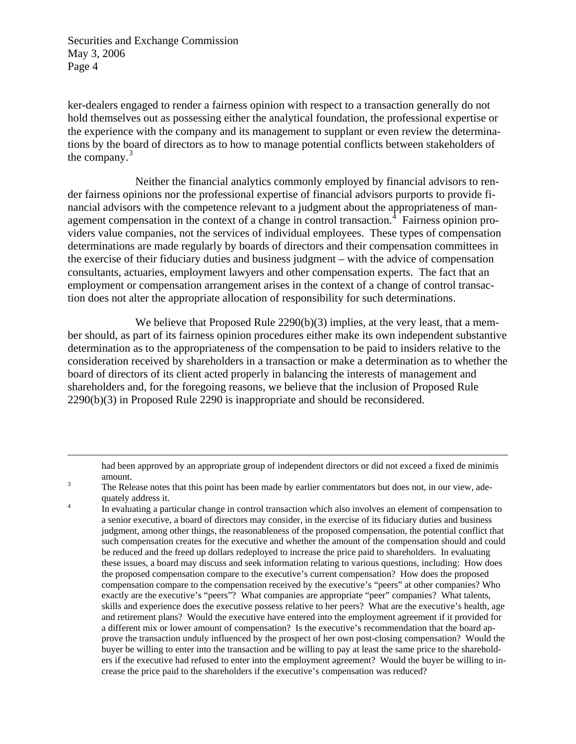$\overline{a}$ 

ker-dealers engaged to render a fairness opinion with respect to a transaction generally do not hold themselves out as possessing either the analytical foundation, the professional expertise or the experience with the company and its management to supplant or even review the determinations by the board of directors as to how to manage potential conflicts between stakeholders of the company.<sup>[3](#page-3-0)</sup>

Neither the financial analytics commonly employed by financial advisors to render fairness opinions nor the professional expertise of financial advisors purports to provide financial advisors with the competence relevant to a judgment about the appropriateness of man-agement compensation in the context of a change in control transaction.<sup>[4](#page-3-1)</sup> Fairness opinion providers value companies, not the services of individual employees. These types of compensation determinations are made regularly by boards of directors and their compensation committees in the exercise of their fiduciary duties and business judgment – with the advice of compensation consultants, actuaries, employment lawyers and other compensation experts. The fact that an employment or compensation arrangement arises in the context of a change of control transaction does not alter the appropriate allocation of responsibility for such determinations.

We believe that Proposed Rule 2290(b)(3) implies, at the very least, that a member should, as part of its fairness opinion procedures either make its own independent substantive determination as to the appropriateness of the compensation to be paid to insiders relative to the consideration received by shareholders in a transaction or make a determination as to whether the board of directors of its client acted properly in balancing the interests of management and shareholders and, for the foregoing reasons, we believe that the inclusion of Proposed Rule 2290(b)(3) in Proposed Rule 2290 is inappropriate and should be reconsidered.

had been approved by an appropriate group of independent directors or did not exceed a fixed de minimis amount. 3

<span id="page-3-0"></span>The Release notes that this point has been made by earlier commentators but does not, in our view, adequately address it.

<span id="page-3-1"></span>In evaluating a particular change in control transaction which also involves an element of compensation to a senior executive, a board of directors may consider, in the exercise of its fiduciary duties and business judgment, among other things, the reasonableness of the proposed compensation, the potential conflict that such compensation creates for the executive and whether the amount of the compensation should and could be reduced and the freed up dollars redeployed to increase the price paid to shareholders. In evaluating these issues, a board may discuss and seek information relating to various questions, including: How does the proposed compensation compare to the executive's current compensation? How does the proposed compensation compare to the compensation received by the executive's "peers" at other companies? Who exactly are the executive's "peers"? What companies are appropriate "peer" companies? What talents, skills and experience does the executive possess relative to her peers? What are the executive's health, age and retirement plans? Would the executive have entered into the employment agreement if it provided for a different mix or lower amount of compensation? Is the executive's recommendation that the board approve the transaction unduly influenced by the prospect of her own post-closing compensation? Would the buyer be willing to enter into the transaction and be willing to pay at least the same price to the shareholders if the executive had refused to enter into the employment agreement? Would the buyer be willing to increase the price paid to the shareholders if the executive's compensation was reduced?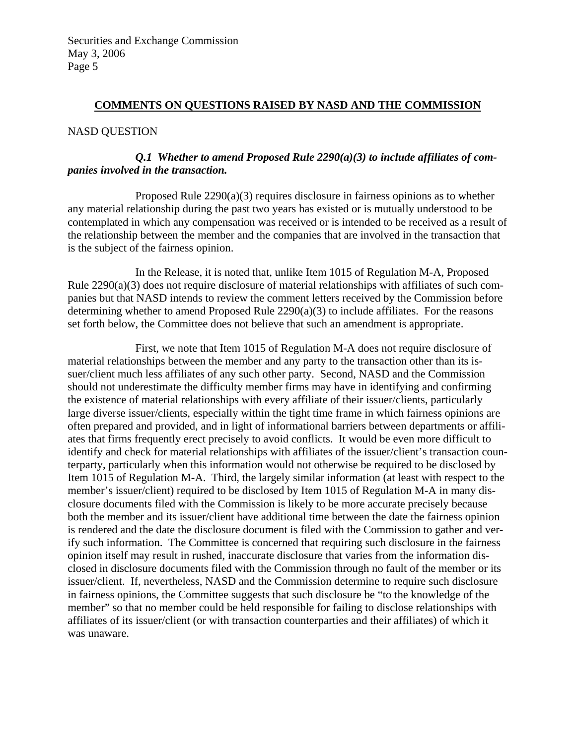#### **COMMENTS ON QUESTIONS RAISED BY NASD AND THE COMMISSION**

#### NASD QUESTION

# *Q.1 Whether to amend Proposed Rule 2290(a)(3) to include affiliates of companies involved in the transaction.*

Proposed Rule 2290(a)(3) requires disclosure in fairness opinions as to whether any material relationship during the past two years has existed or is mutually understood to be contemplated in which any compensation was received or is intended to be received as a result of the relationship between the member and the companies that are involved in the transaction that is the subject of the fairness opinion.

In the Release, it is noted that, unlike Item 1015 of Regulation M-A, Proposed Rule  $2290(a)(3)$  does not require disclosure of material relationships with affiliates of such companies but that NASD intends to review the comment letters received by the Commission before determining whether to amend Proposed Rule 2290(a)(3) to include affiliates. For the reasons set forth below, the Committee does not believe that such an amendment is appropriate.

First, we note that Item 1015 of Regulation M-A does not require disclosure of material relationships between the member and any party to the transaction other than its issuer/client much less affiliates of any such other party. Second, NASD and the Commission should not underestimate the difficulty member firms may have in identifying and confirming the existence of material relationships with every affiliate of their issuer/clients, particularly large diverse issuer/clients, especially within the tight time frame in which fairness opinions are often prepared and provided, and in light of informational barriers between departments or affiliates that firms frequently erect precisely to avoid conflicts. It would be even more difficult to identify and check for material relationships with affiliates of the issuer/client's transaction counterparty, particularly when this information would not otherwise be required to be disclosed by Item 1015 of Regulation M-A. Third, the largely similar information (at least with respect to the member's issuer/client) required to be disclosed by Item 1015 of Regulation M-A in many disclosure documents filed with the Commission is likely to be more accurate precisely because both the member and its issuer/client have additional time between the date the fairness opinion is rendered and the date the disclosure document is filed with the Commission to gather and verify such information. The Committee is concerned that requiring such disclosure in the fairness opinion itself may result in rushed, inaccurate disclosure that varies from the information disclosed in disclosure documents filed with the Commission through no fault of the member or its issuer/client. If, nevertheless, NASD and the Commission determine to require such disclosure in fairness opinions, the Committee suggests that such disclosure be "to the knowledge of the member" so that no member could be held responsible for failing to disclose relationships with affiliates of its issuer/client (or with transaction counterparties and their affiliates) of which it was unaware.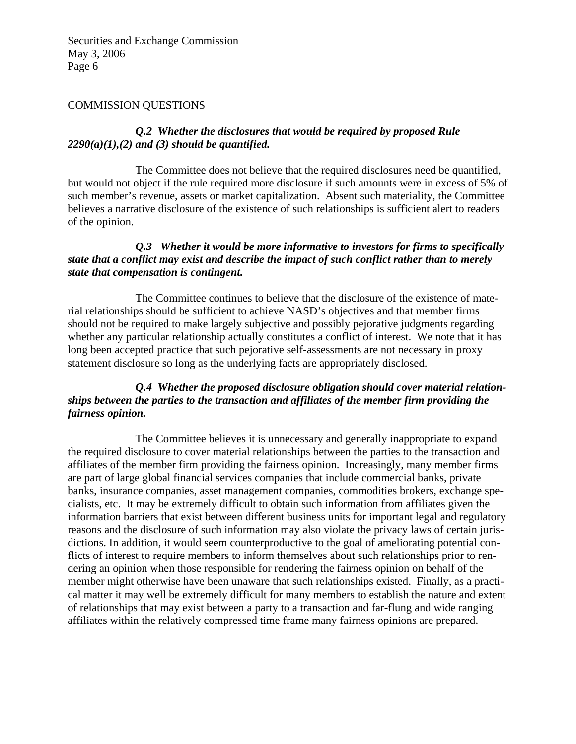# COMMISSION QUESTIONS

# *Q.2 Whether the disclosures that would be required by proposed Rule 2290(a)(1),(2) and (3) should be quantified.*

The Committee does not believe that the required disclosures need be quantified, but would not object if the rule required more disclosure if such amounts were in excess of 5% of such member's revenue, assets or market capitalization. Absent such materiality, the Committee believes a narrative disclosure of the existence of such relationships is sufficient alert to readers of the opinion.

# *Q.3 Whether it would be more informative to investors for firms to specifically state that a conflict may exist and describe the impact of such conflict rather than to merely state that compensation is contingent.*

The Committee continues to believe that the disclosure of the existence of material relationships should be sufficient to achieve NASD's objectives and that member firms should not be required to make largely subjective and possibly pejorative judgments regarding whether any particular relationship actually constitutes a conflict of interest. We note that it has long been accepted practice that such pejorative self-assessments are not necessary in proxy statement disclosure so long as the underlying facts are appropriately disclosed.

# *Q.4 Whether the proposed disclosure obligation should cover material relationships between the parties to the transaction and affiliates of the member firm providing the fairness opinion.*

The Committee believes it is unnecessary and generally inappropriate to expand the required disclosure to cover material relationships between the parties to the transaction and affiliates of the member firm providing the fairness opinion. Increasingly, many member firms are part of large global financial services companies that include commercial banks, private banks, insurance companies, asset management companies, commodities brokers, exchange specialists, etc. It may be extremely difficult to obtain such information from affiliates given the information barriers that exist between different business units for important legal and regulatory reasons and the disclosure of such information may also violate the privacy laws of certain jurisdictions. In addition, it would seem counterproductive to the goal of ameliorating potential conflicts of interest to require members to inform themselves about such relationships prior to rendering an opinion when those responsible for rendering the fairness opinion on behalf of the member might otherwise have been unaware that such relationships existed. Finally, as a practical matter it may well be extremely difficult for many members to establish the nature and extent of relationships that may exist between a party to a transaction and far-flung and wide ranging affiliates within the relatively compressed time frame many fairness opinions are prepared.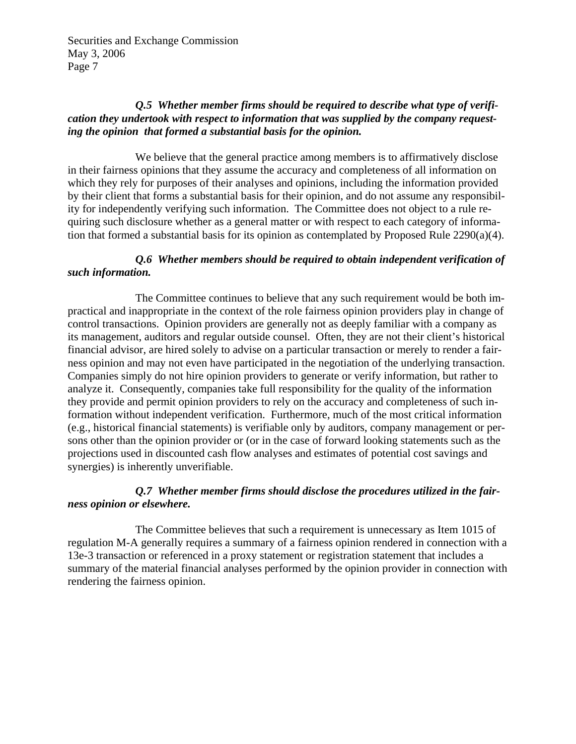# *Q.5 Whether member firms should be required to describe what type of verification they undertook with respect to information that was supplied by the company requesting the opinion that formed a substantial basis for the opinion.*

We believe that the general practice among members is to affirmatively disclose in their fairness opinions that they assume the accuracy and completeness of all information on which they rely for purposes of their analyses and opinions, including the information provided by their client that forms a substantial basis for their opinion, and do not assume any responsibility for independently verifying such information. The Committee does not object to a rule requiring such disclosure whether as a general matter or with respect to each category of information that formed a substantial basis for its opinion as contemplated by Proposed Rule 2290(a)(4).

# *Q.6 Whether members should be required to obtain independent verification of such information.*

The Committee continues to believe that any such requirement would be both impractical and inappropriate in the context of the role fairness opinion providers play in change of control transactions. Opinion providers are generally not as deeply familiar with a company as its management, auditors and regular outside counsel. Often, they are not their client's historical financial advisor, are hired solely to advise on a particular transaction or merely to render a fairness opinion and may not even have participated in the negotiation of the underlying transaction. Companies simply do not hire opinion providers to generate or verify information, but rather to analyze it. Consequently, companies take full responsibility for the quality of the information they provide and permit opinion providers to rely on the accuracy and completeness of such information without independent verification. Furthermore, much of the most critical information (e.g., historical financial statements) is verifiable only by auditors, company management or persons other than the opinion provider or (or in the case of forward looking statements such as the projections used in discounted cash flow analyses and estimates of potential cost savings and synergies) is inherently unverifiable.

# *Q.7 Whether member firms should disclose the procedures utilized in the fairness opinion or elsewhere.*

The Committee believes that such a requirement is unnecessary as Item 1015 of regulation M-A generally requires a summary of a fairness opinion rendered in connection with a 13e-3 transaction or referenced in a proxy statement or registration statement that includes a summary of the material financial analyses performed by the opinion provider in connection with rendering the fairness opinion.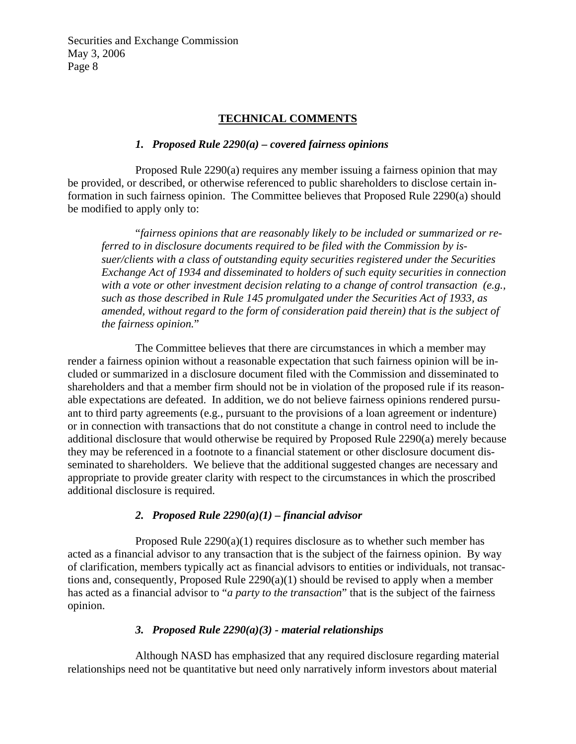#### **TECHNICAL COMMENTS**

#### *1. Proposed Rule 2290(a) – covered fairness opinions*

Proposed Rule 2290(a) requires any member issuing a fairness opinion that may be provided, or described, or otherwise referenced to public shareholders to disclose certain information in such fairness opinion. The Committee believes that Proposed Rule 2290(a) should be modified to apply only to:

"*fairness opinions that are reasonably likely to be included or summarized or referred to in disclosure documents required to be filed with the Commission by issuer/clients with a class of outstanding equity securities registered under the Securities Exchange Act of 1934 and disseminated to holders of such equity securities in connection with a vote or other investment decision relating to a change of control transaction (e.g., such as those described in Rule 145 promulgated under the Securities Act of 1933, as amended, without regard to the form of consideration paid therein) that is the subject of the fairness opinion.*"

The Committee believes that there are circumstances in which a member may render a fairness opinion without a reasonable expectation that such fairness opinion will be included or summarized in a disclosure document filed with the Commission and disseminated to shareholders and that a member firm should not be in violation of the proposed rule if its reasonable expectations are defeated. In addition, we do not believe fairness opinions rendered pursuant to third party agreements (e.g., pursuant to the provisions of a loan agreement or indenture) or in connection with transactions that do not constitute a change in control need to include the additional disclosure that would otherwise be required by Proposed Rule 2290(a) merely because they may be referenced in a footnote to a financial statement or other disclosure document disseminated to shareholders. We believe that the additional suggested changes are necessary and appropriate to provide greater clarity with respect to the circumstances in which the proscribed additional disclosure is required.

### *2. Proposed Rule 2290(a)(1) – financial advisor*

Proposed Rule 2290(a)(1) requires disclosure as to whether such member has acted as a financial advisor to any transaction that is the subject of the fairness opinion. By way of clarification, members typically act as financial advisors to entities or individuals, not transactions and, consequently, Proposed Rule 2290(a)(1) should be revised to apply when a member has acted as a financial advisor to "*a party to the transaction*" that is the subject of the fairness opinion.

# *3. Proposed Rule 2290(a)(3) - material relationships*

Although NASD has emphasized that any required disclosure regarding material relationships need not be quantitative but need only narratively inform investors about material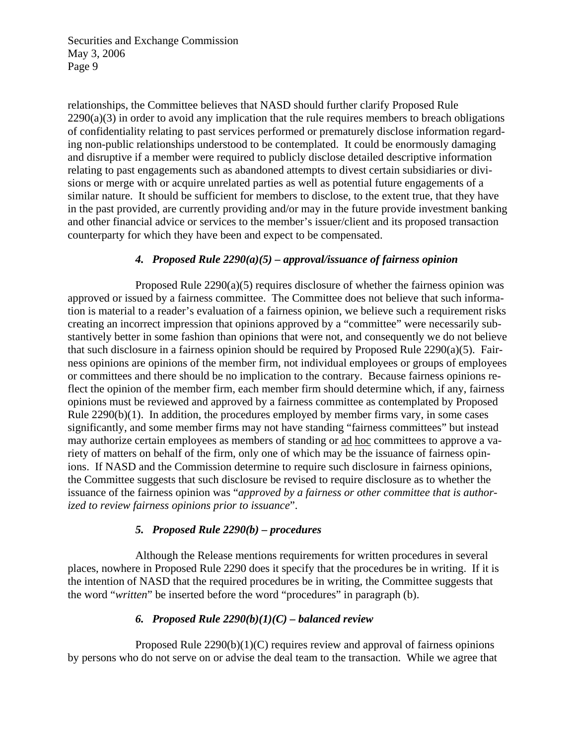relationships, the Committee believes that NASD should further clarify Proposed Rule  $2290(a)(3)$  in order to avoid any implication that the rule requires members to breach obligations of confidentiality relating to past services performed or prematurely disclose information regarding non-public relationships understood to be contemplated. It could be enormously damaging and disruptive if a member were required to publicly disclose detailed descriptive information relating to past engagements such as abandoned attempts to divest certain subsidiaries or divisions or merge with or acquire unrelated parties as well as potential future engagements of a similar nature. It should be sufficient for members to disclose, to the extent true, that they have in the past provided, are currently providing and/or may in the future provide investment banking and other financial advice or services to the member's issuer/client and its proposed transaction counterparty for which they have been and expect to be compensated.

# *4. Proposed Rule 2290(a)(5) – approval/issuance of fairness opinion*

Proposed Rule 2290(a)(5) requires disclosure of whether the fairness opinion was approved or issued by a fairness committee. The Committee does not believe that such information is material to a reader's evaluation of a fairness opinion, we believe such a requirement risks creating an incorrect impression that opinions approved by a "committee" were necessarily substantively better in some fashion than opinions that were not, and consequently we do not believe that such disclosure in a fairness opinion should be required by Proposed Rule  $2290(a)(5)$ . Fairness opinions are opinions of the member firm, not individual employees or groups of employees or committees and there should be no implication to the contrary. Because fairness opinions reflect the opinion of the member firm, each member firm should determine which, if any, fairness opinions must be reviewed and approved by a fairness committee as contemplated by Proposed Rule 2290(b)(1). In addition, the procedures employed by member firms vary, in some cases significantly, and some member firms may not have standing "fairness committees" but instead may authorize certain employees as members of standing or ad hoc committees to approve a variety of matters on behalf of the firm, only one of which may be the issuance of fairness opinions. If NASD and the Commission determine to require such disclosure in fairness opinions, the Committee suggests that such disclosure be revised to require disclosure as to whether the issuance of the fairness opinion was "*approved by a fairness or other committee that is authorized to review fairness opinions prior to issuance*".

### *5. Proposed Rule 2290(b) – procedures*

Although the Release mentions requirements for written procedures in several places, nowhere in Proposed Rule 2290 does it specify that the procedures be in writing. If it is the intention of NASD that the required procedures be in writing, the Committee suggests that the word "*written*" be inserted before the word "procedures" in paragraph (b).

# *6. Proposed Rule 2290(b)(1)(C) – balanced review*

Proposed Rule 2290(b)(1)(C) requires review and approval of fairness opinions by persons who do not serve on or advise the deal team to the transaction. While we agree that